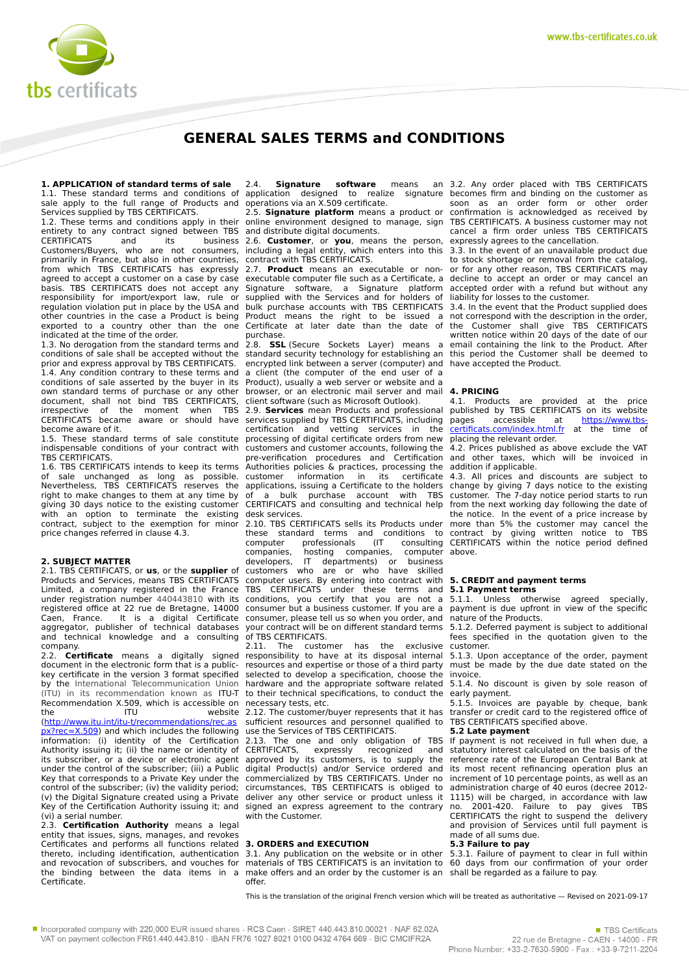

# **GENERAL SALES TERMS and CONDITIONS**

**1. APPLICATION of standard terms of sale** 1.1. These standard terms and conditions of sale apply to the full range of Products and Services supplied by TBS CERTIFICATS.

1.2. These terms and conditions apply in their entirety to any contract signed between TBS<br>CERTIFICATS and its business CERTIFICATS and its business Customers/Buyers, who are not consumers, primarily in France, but also in other countries, from which TBS CERTIFICATS has expressly agreed to accept a customer on a case by case basis. TBS CERTIFICATS does not accept any responsibility for import/export law, rule or responsibility for importance by the USA and other countries in the case a Product is being exported to a country other than the one indicated at the time of the order.

1.3. No derogation from the standard terms and conditions of sale shall be accepted without the prior and express approval by TBS CERTIFICATS. 1.4. Any condition contrary to these terms and conditions of sale asserted by the buyer in its own standard terms of purchase or any other document, shall not bind TBS CERTIFICATS, irrespective of the moment when TBS CERTIFICATS became aware or should have become aware of it.

1.5. These standard terms of sale constitute indispensable conditions of your contract with TBS CERTIFICATS.

1.6. TBS CERTIFICATS intends to keep its terms of sale unchanged as long as possible. Nevertheless, TBS CERTIFICATS reserves the right to make changes to them at any time by giving 30 days notice to the existing customer with an option to terminate the existing contract, subject to the exemption for minor price changes referred in clause 4.3.

# **2. SUBJECT MATTER**

2.1. TBS CERTIFICATS, or **us**, or the **supplier** of Products and Services, means TBS CERTIFICATS Limited, a company registered in the France under registration number 440443810 with its registered office at 22 rue de Bretagne, 14000 Caen, France. It is a digital Certificate aggregator, publisher of technical databases and technical knowledge and a consulting company.<br>2.2. Cer

**Certificate** means a digitally signed document in the electronic form that is a publickey certificate in the version 3 format specified by the International Telecommunication Union (ITU) in its recommendation known as ITU-T Recommendation X.509, which is accessible on the ITU website [\(http://www.itu.int/itu-t/recommendations/rec.as](http://www.itu.int/itu-t/recommendations/rec.aspx?rec=X.509) [px?rec=X.509](http://www.itu.int/itu-t/recommendations/rec.aspx?rec=X.509)) and which includes the following information: (i) identity of the Certification Authority issuing it; (ii) the name or identity of its subscriber, or a device or electronic agent under the control of the subscriber; (iii) a Public Key that corresponds to a Private Key under the control of the subscriber; (iv) the validity period; (v) the Digital Signature created using a Private Key of the Certification Authority issuing it; and (vi) a serial number.

2.3. **Certification Authority** means a legal entity that issues, signs, manages, and revokes Certificates and performs all functions related thereto, including identification, authentication and revocation of subscribers, and vouches for the binding between the data items in a Certificate.

2.4. **Signature software** means application designed to realize signature operations via an X.509 certificate.

2.5. **Signature platform** means a product or online environment designed to manage, sign and distribute digital documents.

2.6. **Customer**, or **you**, means the person, including a legal entity, which enters into this contract with TBS CERTIFICATS.

2.7. **Product** means an executable or nonexecutable computer file such as a Certificate, a Signature software, a Signature platform supplied with the Services and for holders of bulk purchase accounts with TBS CERTIFICATS Product means the right to be issued a Certificate at later date than the date of purchase.

2.8. **SSL** (Secure Sockets Layer) means a standard security technology for establishing an encrypted link between a server (computer) and a client (the computer of the end user of a Product), usually a web server or website and a browser, or an electronic mail server and mail client software (such as Microsoft Outlook).

2.9. **Services** mean Products and professional services supplied by TBS CERTIFICATS, including certification and vetting services in the processing of digital certificate orders from new customers and customer accounts, following the pre-verification procedures and Certification Authorities policies & practices, processing the<br>customer information in its certificate information in its applications, issuing a Certificate to the holders of a bulk purchase account with TBS CERTIFICATS and consulting and technical help desk services.

2.10. TBS CERTIFICATS sells its Products under these standard terms and conditions to<br>computer professionals (IT consulting computer professionals (IT consulting companies, hosting companies,<br>developers, IT departments) or developers, IT departments) or business<br>customers who are or who have skilled are or who have skilled computer users. By entering into contract with TBS CERTIFICATS under these terms and conditions, you certify that you are not a consumer but a business customer. If you are a consumer, please tell us so when you order, and your contract will be on different standard terms of TBS CERTIFICATS.

2.11. The customer has the exclusive responsibility to have at its disposal internal resources and expertise or those of a third party selected to develop a specification, choose the hardware and the appropriate software related to their technical specifications, to conduct the necessary tests, etc.

2.12. The customer/buyer represents that it has sufficient resources and personnel qualified to use the Services of TBS CERTIFICATS.

2.13. The one and only obligation of TBS<br>CERTIFICATS. expressly recognized and CERTIFICATS, expressly recognized approved by its customers, is to supply the digital Product(s) and/or Service ordered and commercialized by TBS CERTIFICATS. Under no circumstances, TBS CERTIFICATS is obliged to deliver any other service or product unless it signed an express agreement to the contrary with the Customer.

## **3. ORDERS and EXECUTION**

3.1. Any publication on the website or in other materials of TBS CERTIFICATS is an invitation to 60 days from our confirmation of your order make offers and an order by the customer is an shall be regarded as a failure to pay. offer.

3.2. Any order placed with TBS CERTIFICATS becomes firm and binding on the customer as soon as an order form or other order confirmation is acknowledged as received by TBS CERTIFICATS. A business customer may not cancel a firm order unless TBS CERTIFICATS expressly agrees to the cancellation.

3.3. In the event of an unavailable product due to stock shortage or removal from the catalog, or for any other reason, TBS CERTIFICATS may decline to accept an order or may cancel an accepted order with a refund but without any liability for losses to the customer.

3.4. In the event that the Product supplied does not correspond with the description in the order, the Customer shall give TBS CERTIFICATS written notice within 20 days of the date of our email containing the link to the Product. After this period the Customer shall be deemed to have accepted the Product.

#### **4. PRICING**

4.1. Products are provided at the price published by TBS CERTIFICATS on its website<br>pages accessible at https://www.tbsaccessible at <u>https://www.tbs-</u><br>com/index.html\_fr\_at\_\_the\_\_time\_of payes accessible at the time placing the relevant order.

4.2. Prices published as above exclude the VAT and other taxes, which will be invoiced in addition if applicable.

4.3. All prices and discounts are subject to change by giving 7 days notice to the existing customer. The 7-day notice period starts to run from the next working day following the date of the notice. In the event of a price increase by more than 5% the customer may cancel the contract by giving written notice to TBS CERTIFICATS within the notice period defined above.

#### **5. CREDIT and payment terms 5.1 Payment terms**

5.1.1. Unless otherwise agreed specially, payment is due upfront in view of the specific nature of the Products.

5.1.2. Deferred payment is subject to additional fees specified in the quotation given to the customer.

5.1.3. Upon acceptance of the order, payment must be made by the due date stated on the invoice.

5.1.4. No discount is given by sole reason of early payment.

5.1.5. Invoices are payable by cheque, bank transfer or credit card to the registered office of TBS CERTIFICATS specified above.

# **5.2 Late payment**

If payment is not received in full when due, a statutory interest calculated on the basis of the reference rate of the European Central Bank at its most recent refinancing operation plus an increment of 10 percentage points, as well as an administration charge of 40 euros (decree 2012- 1115) will be charged, in accordance with law no. 2001-420. Failure to pay gives TBS CERTIFICATS the right to suspend the delivery and provision of Services until full payment is made of all sums due.

#### **5.3 Failure to pay**

5.3.1. Failure of payment to clear in full within

This is the translation of the original French version which will be treated as authoritative — Revised on 2021-09-17